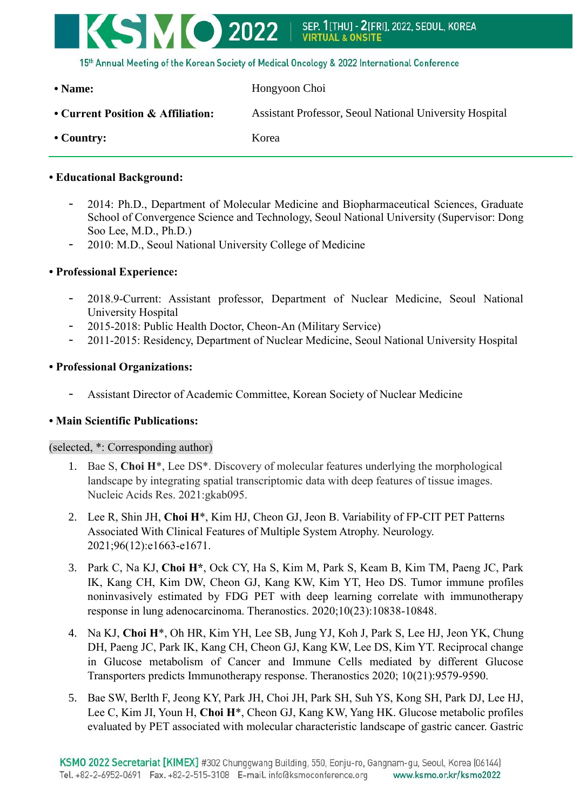

| • Name:                           | Hongyoon Choi                                                  |
|-----------------------------------|----------------------------------------------------------------|
| • Current Position & Affiliation: | <b>Assistant Professor, Seoul National University Hospital</b> |
| $\cdot$ Country:                  | Korea                                                          |

# **• Educational Background:**

- 2014: Ph.D., Department of Molecular Medicine and Biopharmaceutical Sciences, Graduate School of Convergence Science and Technology, Seoul National University (Supervisor: Dong Soo Lee, M.D., Ph.D.)
- 2010: M.D., Seoul National University College of Medicine

# **• Professional Experience:**

- 2018.9-Current: Assistant professor, Department of Nuclear Medicine, Seoul National University Hospital
- 2015-2018: Public Health Doctor, Cheon-An (Military Service)
- 2011-2015: Residency, Department of Nuclear Medicine, Seoul National University Hospital

# **• Professional Organizations:**

- Assistant Director of Academic Committee, Korean Society of Nuclear Medicine

# **• Main Scientific Publications:**

# (selected, \*: Corresponding author)

- 1. Bae S, **Choi H**\*, Lee DS\*. Discovery of molecular features underlying the morphological landscape by integrating spatial transcriptomic data with deep features of tissue images. Nucleic Acids Res. 2021:gkab095.
- 2. Lee R, Shin JH, **Choi H**\*, Kim HJ, Cheon GJ, Jeon B. Variability of FP-CIT PET Patterns Associated With Clinical Features of Multiple System Atrophy. Neurology. 2021;96(12):e1663-e1671.
- 3. Park C, Na KJ, **Choi H\***, Ock CY, Ha S, Kim M, Park S, Keam B, Kim TM, Paeng JC, Park IK, Kang CH, Kim DW, Cheon GJ, Kang KW, Kim YT, Heo DS. Tumor immune profiles noninvasively estimated by FDG PET with deep learning correlate with immunotherapy response in lung adenocarcinoma. Theranostics. 2020;10(23):10838-10848.
- 4. Na KJ, **Choi H**\*, Oh HR, Kim YH, Lee SB, Jung YJ, Koh J, Park S, Lee HJ, Jeon YK, Chung DH, Paeng JC, Park IK, Kang CH, Cheon GJ, Kang KW, Lee DS, Kim YT. Reciprocal change in Glucose metabolism of Cancer and Immune Cells mediated by different Glucose Transporters predicts Immunotherapy response. Theranostics 2020; 10(21):9579-9590.
- 5. Bae SW, Berlth F, Jeong KY, Park JH, Choi JH, Park SH, Suh YS, Kong SH, Park DJ, Lee HJ, Lee C, Kim JI, Youn H, **Choi H**\*, Cheon GJ, Kang KW, Yang HK. Glucose metabolic profiles evaluated by PET associated with molecular characteristic landscape of gastric cancer. Gastric